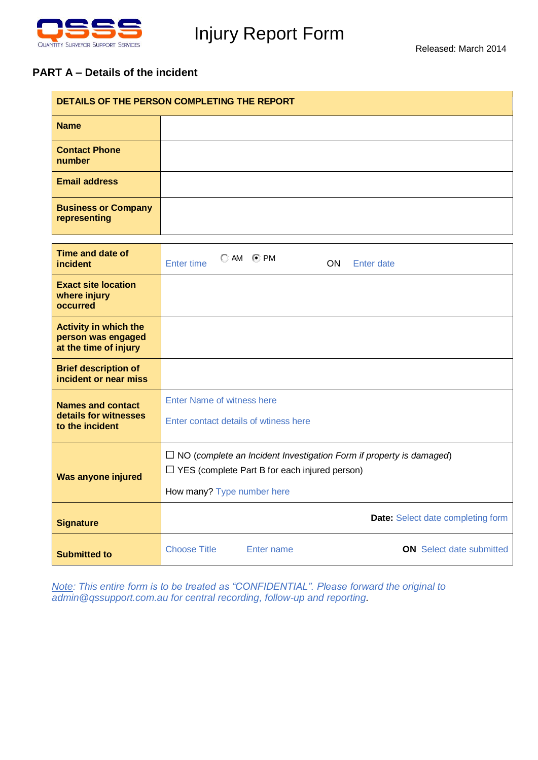

 $\mathbf{r}$ 

## Injury Report Form

## **PART A – Details of the incident**

| DETAILS OF THE PERSON COMPLETING THE REPORT                                 |                                                                                                                                                                  |  |  |
|-----------------------------------------------------------------------------|------------------------------------------------------------------------------------------------------------------------------------------------------------------|--|--|
| <b>Name</b>                                                                 |                                                                                                                                                                  |  |  |
| <b>Contact Phone</b><br>number                                              |                                                                                                                                                                  |  |  |
| <b>Email address</b>                                                        |                                                                                                                                                                  |  |  |
| <b>Business or Company</b><br>representing                                  |                                                                                                                                                                  |  |  |
| <b>Time and date of</b><br><i>incident</i>                                  | $\bigcirc$ AM $\bigcirc$ PM<br><b>Enter time</b><br>ON.<br><b>Enter date</b>                                                                                     |  |  |
| <b>Exact site location</b><br>where injury<br>occurred                      |                                                                                                                                                                  |  |  |
| <b>Activity in which the</b><br>person was engaged<br>at the time of injury |                                                                                                                                                                  |  |  |
| <b>Brief description of</b><br>incident or near miss                        |                                                                                                                                                                  |  |  |
| <b>Names and contact</b><br>details for witnesses<br>to the incident        | <b>Enter Name of witness here</b><br>Enter contact details of wtiness here                                                                                       |  |  |
| Was anyone injured                                                          | $\Box$ NO (complete an Incident Investigation Form if property is damaged)<br>$\Box$ YES (complete Part B for each injured person)<br>How many? Type number here |  |  |
| <b>Signature</b>                                                            | <b>Date:</b> Select date completing form                                                                                                                         |  |  |
| <b>Submitted to</b>                                                         | <b>Choose Title</b><br><b>ON</b> Select date submitted<br>Enter name                                                                                             |  |  |

*Note: This entire form is to be treated as "CONFIDENTIAL". Please forward the original to admin@qssupport.com[.au](mailto:whscoordinator@justice.qld.gov.au) for central recording, follow-up and reporting.*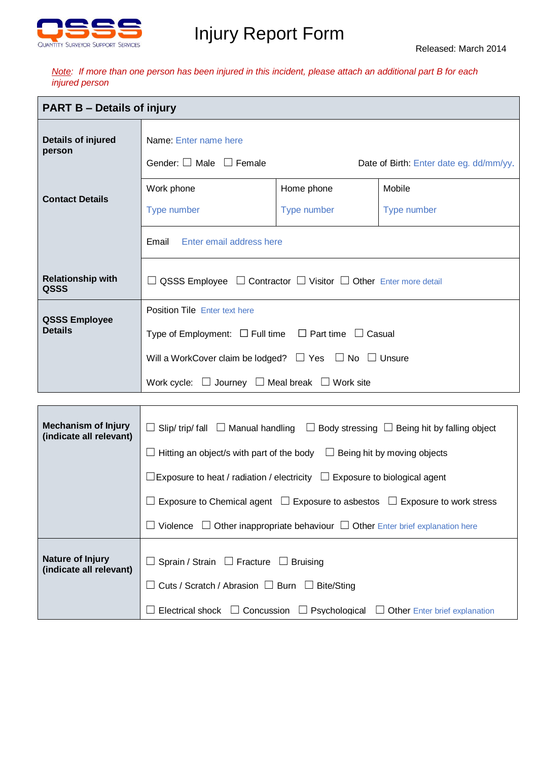

## Injury Report Form

*Note: If more than one person has been injured in this incident, please attach an additional part B for each injured person* 

| <b>PART B - Details of injury</b>                     |                                                                                                                                                                                                                                                                                                                                                                                  |                           |                       |  |
|-------------------------------------------------------|----------------------------------------------------------------------------------------------------------------------------------------------------------------------------------------------------------------------------------------------------------------------------------------------------------------------------------------------------------------------------------|---------------------------|-----------------------|--|
| Details of injured<br>person                          | Name: Enter name here<br>Gender: $\Box$ Male $\Box$ Female<br>Date of Birth: Enter date eg. dd/mm/yy.                                                                                                                                                                                                                                                                            |                           |                       |  |
| <b>Contact Details</b>                                | Work phone<br>Type number<br>Enter email address here<br>Email                                                                                                                                                                                                                                                                                                                   | Home phone<br>Type number | Mobile<br>Type number |  |
| <b>Relationship with</b><br>QSSS                      | $\Box$ QSSS Employee $\Box$ Contractor $\Box$ Visitor $\Box$ Other Enter more detail                                                                                                                                                                                                                                                                                             |                           |                       |  |
| <b>QSSS Employee</b><br><b>Details</b>                | <b>Position Tile Enter text here</b><br>Type of Employment: $\Box$ Full time $\Box$ Part time $\Box$ Casual<br>Will a WorkCover claim be lodged? $\Box$ Yes $\Box$ No $\Box$ Unsure<br>Work cycle: $\Box$ Journey $\Box$ Meal break $\Box$ Work site                                                                                                                             |                           |                       |  |
|                                                       |                                                                                                                                                                                                                                                                                                                                                                                  |                           |                       |  |
| <b>Mechanism of Injury</b><br>(indicate all relevant) | $\Box$ Slip/ trip/ fall $\Box$ Manual handling $\Box$ Body stressing $\Box$ Being hit by falling object<br>$\Box$ Hitting an object/s with part of the body $\Box$ Being hit by moving objects<br>$\Box$ Exposure to heat / radiation / electricity $\Box$ Exposure to biological agent<br>Exposure to Chemical agent $\Box$ Exposure to asbestos $\Box$ Exposure to work stress |                           |                       |  |
|                                                       | Violence $\Box$ Other inappropriate behaviour $\Box$ Other Enter brief explanation here                                                                                                                                                                                                                                                                                          |                           |                       |  |
| Nature of Injury<br>(indicate all relevant)           | $\Box$ Sprain / Strain $\Box$ Fracture $\Box$ Bruising<br>Cuts / Scratch / Abrasion $\Box$ Burn $\Box$ Bite/Sting<br>Electrical shock $\Box$ Concussion $\Box$ Psychological<br>$\Box$ Other Enter brief explanation                                                                                                                                                             |                           |                       |  |

here